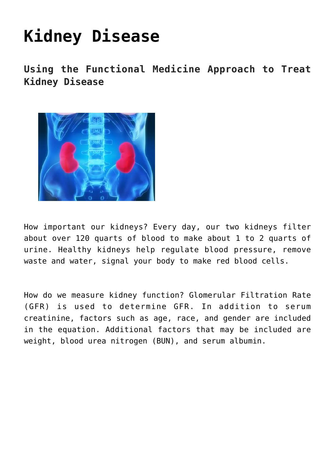## **[Kidney Disease](https://sproutshealth.com/kidney-disease/)**

**Using the Functional Medicine Approach to Treat Kidney Disease**



How important our kidneys? Every day, our two kidneys filter about over 120 quarts of blood to make about 1 to 2 quarts of urine. Healthy kidneys help regulate blood pressure, remove waste and water, signal your body to make red blood cells.

How do we measure kidney function? Glomerular Filtration Rate (GFR) is used to determine GFR. In addition to serum creatinine, factors such as age, race, and gender are included in the equation. Additional factors that may be included are weight, blood urea nitrogen (BUN), and serum albumin.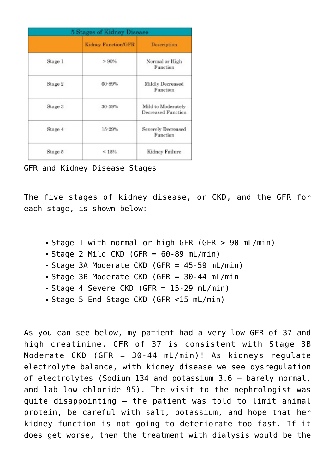| <b>5 Stages of Kidney Disease</b> |                            |                                          |  |  |  |  |
|-----------------------------------|----------------------------|------------------------------------------|--|--|--|--|
|                                   | <b>Kidney Function/GFR</b> | Description                              |  |  |  |  |
| Stage 1                           | > 90%                      | Normal or High<br>Function               |  |  |  |  |
| Stage 2                           | 60-89%                     | Mildly Decreased<br>Function             |  |  |  |  |
| Stage 3                           | 30-59%                     | Mild to Moderately<br>Decreased Function |  |  |  |  |
| Stage 4                           | 15-29%                     | Severely Decreased<br>Function           |  |  |  |  |
| Stage 5                           | < 15%                      | Kidney Failure                           |  |  |  |  |

GFR and Kidney Disease Stages

The five stages of kidney disease, or CKD, and the GFR for each stage, is shown below:

- Stage 1 with normal or high GFR (GFR > 90 mL/min)
- $\bullet$  Stage 2 Mild CKD (GFR = 60-89 mL/min)
- Stage 3A Moderate CKD (GFR = 45-59 mL/min)
- Stage 3B Moderate CKD (GFR = 30-44 mL/min
- Stage 4 Severe CKD (GFR = 15-29 mL/min)
- Stage 5 End Stage CKD (GFR <15 mL/min)

As you can see below, my patient had a very low GFR of 37 and high creatinine. GFR of 37 is consistent with Stage 3B Moderate CKD (GFR = 30-44 mL/min)! As kidneys regulate electrolyte balance, with kidney disease we see dysregulation of electrolytes (Sodium 134 and potassium 3.6 – barely normal, and lab low chloride 95). The visit to the nephrologist was quite disappointing – the patient was told to limit animal protein, be careful with salt, potassium, and hope that her kidney function is not going to deteriorate too fast. If it does get worse, then the treatment with dialysis would be the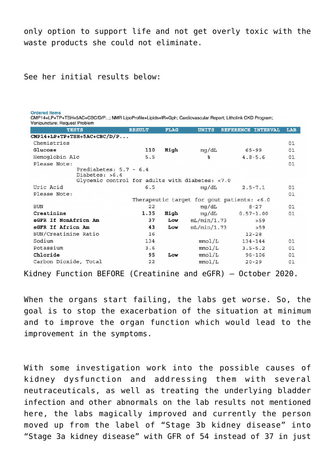only option to support life and not get overly toxic with the waste products she could not eliminate.

See her initial results below:

**Ordered Items** 

| CMP14+LP+TP+TSH+5AC+CBC/D/P; NMR LipoProfile+Lipids+IR+Gph; Cardiovascular Report; Litholink CKD Program;<br>Venipuncture; Request Problem |               |             |                                               |                    |     |
|--------------------------------------------------------------------------------------------------------------------------------------------|---------------|-------------|-----------------------------------------------|--------------------|-----|
| <b>TESTS</b>                                                                                                                               | <b>RESULT</b> | <b>FLAG</b> | <b>UNITS</b>                                  | REFERENCE INTERVAL | LAB |
| $CMP14+LP+TP+TSH+5AC+CBC/D/P$                                                                                                              |               |             |                                               |                    |     |
| Chemistries                                                                                                                                |               |             |                                               |                    | 01  |
| Glucose                                                                                                                                    | 110           | High        | mg/dL                                         | 65-99              | 01  |
| Hemoglobin A1c                                                                                                                             | 5.5           |             | ፟፠                                            | $4.8 - 5.6$        | 01  |
| Please Note:                                                                                                                               |               |             |                                               |                    | 01  |
| Prediabetes: $5.7 - 6.4$<br>Diabetes: >6.4<br>Glycemic control for adults with diabetes: <7.0                                              |               |             |                                               |                    |     |
| Uric Acid                                                                                                                                  | 6.5           |             | mg/dL                                         | $2.5 - 7.1$        | 01  |
| Please Note:                                                                                                                               |               |             |                                               |                    | 01  |
|                                                                                                                                            |               |             | Therapeutic target for gout patients: $< 6.0$ |                    |     |
| <b>BUN</b>                                                                                                                                 | 22            |             | mg/dL                                         | $8 - 27$           | 01  |
| Creatinine                                                                                                                                 | 1.35          | High        | mg/dL                                         | $0.57 - 1.00$      | 01  |
| eGFR If NonAfricn Am                                                                                                                       | 37            | Low         | mL/min/1.73                                   | >59                |     |
| eGFR If Africn Am                                                                                                                          | 43            | Low         | mL/min/1.73                                   | > 59               |     |
| BUN/Creatinine Ratio                                                                                                                       | 16            |             |                                               | $12 - 28$          |     |
| Sodium                                                                                                                                     | 134           |             | mmol/L                                        | 134-144            | 01  |
| Potassium                                                                                                                                  | 3.6           |             | mmol/L                                        | $3.5 - 5.2$        | 01  |
| Chloride                                                                                                                                   | 95            | Low         | mmol/L                                        | $96 - 106$         | 01  |
| Carbon Dioxide, Total                                                                                                                      | 22            |             | mmol/L                                        | $20 - 29$          | 01  |

Kidney Function BEFORE (Creatinine and eGFR) – October 2020.

When the organs start failing, the labs get worse. So, the goal is to stop the exacerbation of the situation at minimum and to improve the organ function which would lead to the improvement in the symptoms.

With some investigation work into the possible causes of kidney dysfunction and addressing them with several neutraceuticals, as well as treating the underlying bladder infection and other abnormals on the lab results not mentioned here, the labs magically improved and currently the person moved up from the label of "Stage 3b kidney disease" into "Stage 3a kidney disease" with GFR of 54 instead of 37 in just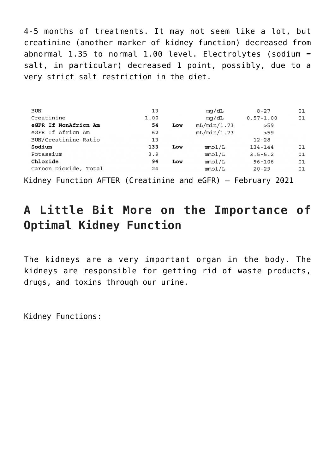4-5 months of treatments. It may not seem like a lot, but creatinine (another marker of kidney function) decreased from abnormal  $1.35$  to normal  $1.00$  level. Electrolytes (sodium = salt, in particular) decreased 1 point, possibly, due to a very strict salt restriction in the diet.

| <b>BUN</b>            | 13   |     | mg/dL       | $8 - 27$      | 01 |
|-----------------------|------|-----|-------------|---------------|----|
| Creatinine            | 1.00 |     | mq/dL       | $0.57 - 1.00$ | 01 |
| eGFR If NonAfricn Am  | 54   | Low | mL/min/1.73 | > 59          |    |
| eGFR If Africn Am     | 62   |     | mL/min/1.73 | >59           |    |
| BUN/Creatinine Ratio  | 13   |     |             | $12 - 28$     |    |
| Sodium                | 133  | Low | mmol/L      | $134 - 144$   | 01 |
| Potassium             | 3.9  |     | mmol/L      | $3.5 - 5.2$   | 01 |
| Chloride              | 94   | Low | mmol/L      | $96 - 106$    | 01 |
| Carbon Dioxide, Total | 24   |     | mmol/L      | $20 - 29$     | 01 |

Kidney Function AFTER (Creatinine and eGFR) – February 2021

## **A Little Bit More on the Importance of Optimal Kidney Function**

The kidneys are a very important organ in the body. The kidneys are responsible for getting rid of waste products, drugs, and toxins through our urine.

Kidney Functions: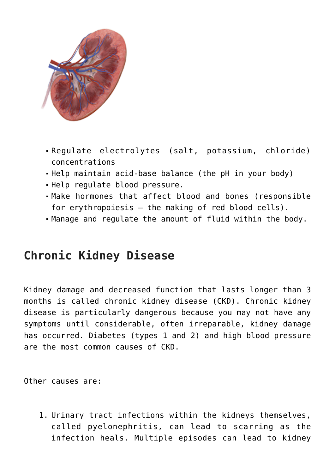

- Regulate electrolytes (salt, potassium, chloride) concentrations
- Help maintain acid-base balance (the pH in your body)
- Help regulate blood pressure.
- Make hormones that affect blood and bones (responsible for erythropoiesis – the making of red blood cells).
- Manage and regulate the amount of fluid within the body.

## **Chronic Kidney Disease**

Kidney damage and decreased function that lasts longer than 3 months is called chronic kidney disease (CKD). Chronic kidney disease is particularly dangerous because you may not have any symptoms until considerable, often irreparable, kidney damage has occurred. Diabetes (types 1 and 2) and high blood pressure are the most common causes of CKD.

Other causes are:

1. Urinary tract infections within the kidneys themselves, called pyelonephritis, can lead to scarring as the infection heals. Multiple episodes can lead to kidney